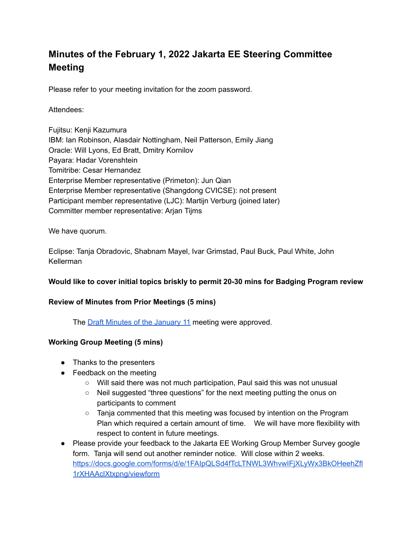# **Minutes of the February 1, 2022 Jakarta EE Steering Committee Meeting**

Please refer to your meeting invitation for the zoom password.

#### Attendees:

Fujitsu: Kenji Kazumura IBM: Ian Robinson, Alasdair Nottingham, Neil Patterson, Emily Jiang Oracle: Will Lyons, Ed Bratt, Dmitry Kornilov Payara: Hadar Vorenshtein Tomitribe: Cesar Hernandez Enterprise Member representative (Primeton): Jun Qian Enterprise Member representative (Shangdong CVICSE): not present Participant member representative (LJC): Martijn Verburg (joined later) Committer member representative: Arjan Tijms

We have quorum.

Eclipse: Tanja Obradovic, Shabnam Mayel, Ivar Grimstad, Paul Buck, Paul White, John Kellerman

#### **Would like to cover initial topics briskly to permit 20-30 mins for Badging Program review**

#### **Review of Minutes from Prior Meetings (5 mins)**

The **Draft Minutes of the [January](https://docs.google.com/document/d/1MRu6dTCZuEwPbMzQOEwxsqVOI_pRJ-TUDdjdqtJ6Vfs/edit) 11** meeting were approved.

#### **Working Group Meeting (5 mins)**

- Thanks to the presenters
- $\bullet$  Feedback on the meeting
	- Will said there was not much participation, Paul said this was not unusual
	- Neil suggested "three questions" for the next meeting putting the onus on participants to comment
	- Tanja commented that this meeting was focused by intention on the Program Plan which required a certain amount of time. We will have more flexibility with respect to content in future meetings.
- Please provide your feedback to the Jakarta EE Working Group Member Survey google form. Tanja will send out another reminder notice. Will close within 2 weeks. [https://docs.google.com/forms/d/e/1FAIpQLSd4fTcLTNWL3WhvwIFjXLyWx3BkOHeehZfl](https://docs.google.com/forms/d/e/1FAIpQLSd4fTcLTNWL3WhvwIFjXLyWx3BkOHeehZfl1rXHAAclXtxpng/viewform) [1rXHAAclXtxpng/viewform](https://docs.google.com/forms/d/e/1FAIpQLSd4fTcLTNWL3WhvwIFjXLyWx3BkOHeehZfl1rXHAAclXtxpng/viewform)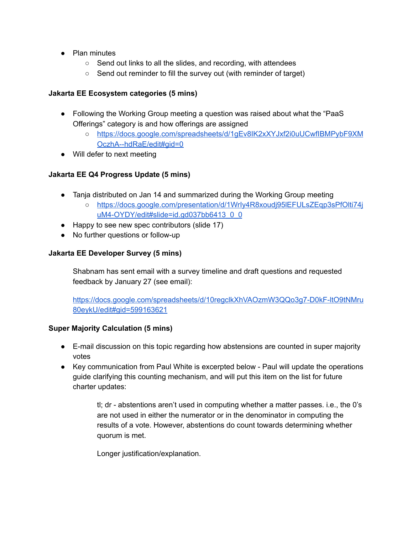- Plan minutes
	- Send out links to all the slides, and recording, with attendees
	- Send out reminder to fill the survey out (with reminder of target)

## **Jakarta EE Ecosystem categories (5 mins)**

- Following the Working Group meeting a question was raised about what the "PaaS" Offerings" category is and how offerings are assigned
	- [https://docs.google.com/spreadsheets/d/1gEv8IK2xXYJxf2i0uUCwfIBMPybF9XM](https://docs.google.com/spreadsheets/d/1gEv8IK2xXYJxf2i0uUCwfIBMPybF9XMOczhA--hdRaE/edit#gid=0) [OczhA--hdRaE/edit#gid=0](https://docs.google.com/spreadsheets/d/1gEv8IK2xXYJxf2i0uUCwfIBMPybF9XMOczhA--hdRaE/edit#gid=0)
- Will defer to next meeting

# **Jakarta EE Q4 Progress Update (5 mins)**

- Tanja distributed on Jan 14 and summarized during the Working Group meeting
	- [https://docs.google.com/presentation/d/1WrIy4R8xoudj95lEFULsZEqp3sPfOlti74j](https://docs.google.com/presentation/d/1WrIy4R8xoudj95lEFULsZEqp3sPfOlti74juM4-OYDY/edit#slide=id.gd037bb6413_0_0) [uM4-OYDY/edit#slide=id.gd037bb6413\\_0\\_0](https://docs.google.com/presentation/d/1WrIy4R8xoudj95lEFULsZEqp3sPfOlti74juM4-OYDY/edit#slide=id.gd037bb6413_0_0)
- Happy to see new spec contributors (slide 17)
- No further questions or follow-up

## **Jakarta EE Developer Survey (5 mins)**

Shabnam has sent email with a survey timeline and draft questions and requested feedback by January 27 (see email):

[https://docs.google.com/spreadsheets/d/10regclkXhVAOzmW3QQo3g7-D0kF-ltO9tNMru](https://docs.google.com/spreadsheets/d/10regclkXhVAOzmW3QQo3g7-D0kF-ltO9tNMru80eykU/edit#gid=599163621) [80eykU/edit#gid=599163621](https://docs.google.com/spreadsheets/d/10regclkXhVAOzmW3QQo3g7-D0kF-ltO9tNMru80eykU/edit#gid=599163621)

## **Super Majority Calculation (5 mins)**

- E-mail discussion on this topic regarding how abstensions are counted in super majority votes
- Key communication from Paul White is excerpted below Paul will update the operations guide clarifying this counting mechanism, and will put this item on the list for future charter updates:

tl; dr - abstentions aren't used in computing whether a matter passes. i.e., the 0's are not used in either the numerator or in the denominator in computing the results of a vote. However, abstentions do count towards determining whether quorum is met.

Longer justification/explanation.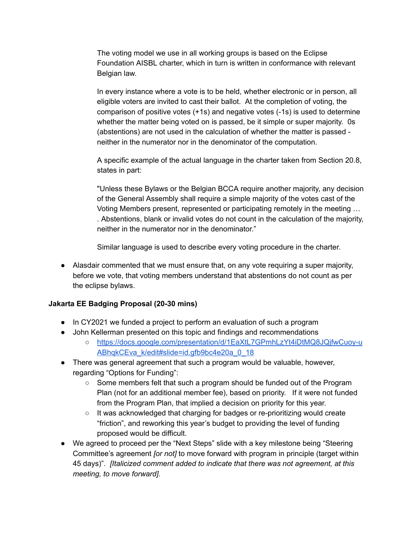The voting model we use in all working groups is based on the Eclipse Foundation AISBL charter, which in turn is written in conformance with relevant Belgian law.

In every instance where a vote is to be held, whether electronic or in person, all eligible voters are invited to cast their ballot. At the completion of voting, the comparison of positive votes (+1s) and negative votes (-1s) is used to determine whether the matter being voted on is passed, be it simple or super majority. 0s (abstentions) are not used in the calculation of whether the matter is passed neither in the numerator nor in the denominator of the computation.

A specific example of the actual language in the charter taken from Section 20.8, states in part:

"Unless these Bylaws or the Belgian BCCA require another majority, any decision of the General Assembly shall require a simple majority of the votes cast of the Voting Members present, represented or participating remotely in the meeting … . Abstentions, blank or invalid votes do not count in the calculation of the majority, neither in the numerator nor in the denominator."

Similar language is used to describe every voting procedure in the charter.

● Alasdair commented that we must ensure that, on any vote requiring a super majority, before we vote, that voting members understand that abstentions do not count as per the eclipse bylaws.

## **Jakarta EE Badging Proposal (20-30 mins)**

- In CY2021 we funded a project to perform an evaluation of such a program
- John Kellerman presented on this topic and findings and recommendations
	- [https://docs.google.com/presentation/d/1EaXtL7GPmhLzYt4iDtMQ8JQjfwCuoy-u](https://docs.google.com/presentation/d/1EaXtL7GPmhLzYt4iDtMQ8JQjfwCuoy-uABhqkCEva_k/edit#slide=id.gfb9bc4e20a_0_18) [ABhqkCEva\\_k/edit#slide=id.gfb9bc4e20a\\_0\\_18](https://docs.google.com/presentation/d/1EaXtL7GPmhLzYt4iDtMQ8JQjfwCuoy-uABhqkCEva_k/edit#slide=id.gfb9bc4e20a_0_18)
- There was general agreement that such a program would be valuable, however, regarding "Options for Funding":
	- Some members felt that such a program should be funded out of the Program Plan (not for an additional member fee), based on priority. If it were not funded from the Program Plan, that implied a decision on priority for this year.
	- It was acknowledged that charging for badges or re-prioritizing would create "friction", and reworking this year's budget to providing the level of funding proposed would be difficult.
- We agreed to proceed per the "Next Steps" slide with a key milestone being "Steering Committee's agreement *[or not]* to move forward with program in principle (target within 45 days)". *[Italicized comment added to indicate that there was not agreement, at this meeting, to move forward].*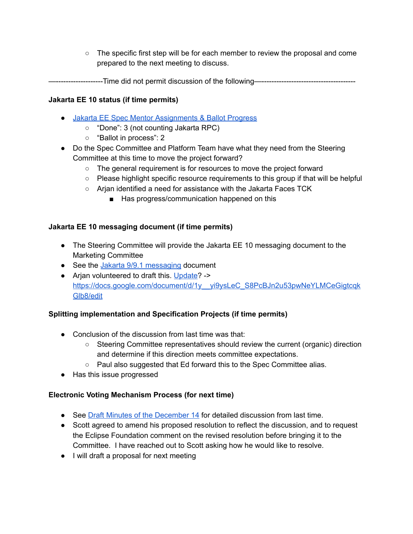$\circ$  The specific first step will be for each member to review the proposal and come prepared to the next meeting to discuss.

—-------------------Time did not permit discussion of the following—--------------------------------------

# **Jakarta EE 10 status (if time permits)**

- Jakarta EE Spec Mentor [Assignments](https://docs.google.com/spreadsheets/d/1YTUpfdLZZrk2_UGwoX2w0seOCueRO3sQJIjWxpDAa7g/edit#gid=35969432) & Ballot Progress
	- "Done": 3 (not counting Jakarta RPC)
	- "Ballot in process": 2
- Do the Spec Committee and Platform Team have what they need from the Steering Committee at this time to move the project forward?
	- The general requirement is for resources to move the project forward
	- Please highlight specific resource requirements to this group if that will be helpful
	- Arjan identified a need for assistance with the Jakarta Faces TCK
		- Has progress/communication happened on this

## **Jakarta EE 10 messaging document (if time permits)**

- The Steering Committee will provide the Jakarta EE 10 messaging document to the Marketing Committee
- See the Jakarta 9/9.1 [messaging](https://urldefense.com/v3/__https://docs.google.com/document/d/18hJZsOaiKh6FMqeOoL5WoV6b10T-7UqpE0OXE31eVpE/edit__;!!ACWV5N9M2RV99hQ!ePxBTxM-a7gQZjXX2xqKYs45HPMmEe_CiUorLofRqyRfAnIzj1eIUQGTmS9iLWBX$) document
- Arian volunteered to draft this. [Update](https://docs.google.com/document/d/1y__yi9ysLeC_S8PcBJn2u53pwNeYLMCeGigtcqkGlb8/edit)? -> [https://docs.google.com/document/d/1y\\_\\_yi9ysLeC\\_S8PcBJn2u53pwNeYLMCeGigtcqk](https://docs.google.com/document/d/1y__yi9ysLeC_S8PcBJn2u53pwNeYLMCeGigtcqkGlb8/edit) [Glb8/edit](https://docs.google.com/document/d/1y__yi9ysLeC_S8PcBJn2u53pwNeYLMCeGigtcqkGlb8/edit)

## **Splitting implementation and Specification Projects (if time permits)**

- Conclusion of the discussion from last time was that:
	- Steering Committee representatives should review the current (organic) direction and determine if this direction meets committee expectations.
	- Paul also suggested that Ed forward this to the Spec Committee alias.
- Has this issue progressed

# **Electronic Voting Mechanism Process (for next time)**

- See Draft Minutes of the [December](https://docs.google.com/document/u/0/d/1I_6BlLhAfGzj73B1bFaVMZ49ws9HbO5Yrl7qcw0g1u8/edit) 14 for detailed discussion from last time.
- Scott agreed to amend his proposed resolution to reflect the discussion, and to request the Eclipse Foundation comment on the revised resolution before bringing it to the Committee. I have reached out to Scott asking how he would like to resolve.
- I will draft a proposal for next meeting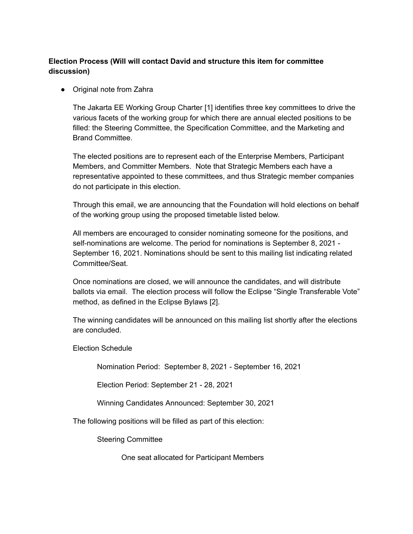# **Election Process (Will will contact David and structure this item for committee discussion)**

● Original note from Zahra

The Jakarta EE Working Group Charter [1] identifies three key committees to drive the various facets of the working group for which there are annual elected positions to be filled: the Steering Committee, the Specification Committee, and the Marketing and Brand Committee.

The elected positions are to represent each of the Enterprise Members, Participant Members, and Committer Members. Note that Strategic Members each have a representative appointed to these committees, and thus Strategic member companies do not participate in this election.

Through this email, we are announcing that the Foundation will hold elections on behalf of the working group using the proposed timetable listed below.

All members are encouraged to consider nominating someone for the positions, and self-nominations are welcome. The period for nominations is September 8, 2021 - September 16, 2021. Nominations should be sent to this mailing list indicating related Committee/Seat.

Once nominations are closed, we will announce the candidates, and will distribute ballots via email. The election process will follow the Eclipse "Single Transferable Vote" method, as defined in the Eclipse Bylaws [2].

The winning candidates will be announced on this mailing list shortly after the elections are concluded.

Election Schedule

Nomination Period: September 8, 2021 - September 16, 2021

Election Period: September 21 - 28, 2021

Winning Candidates Announced: September 30, 2021

The following positions will be filled as part of this election:

Steering Committee

One seat allocated for Participant Members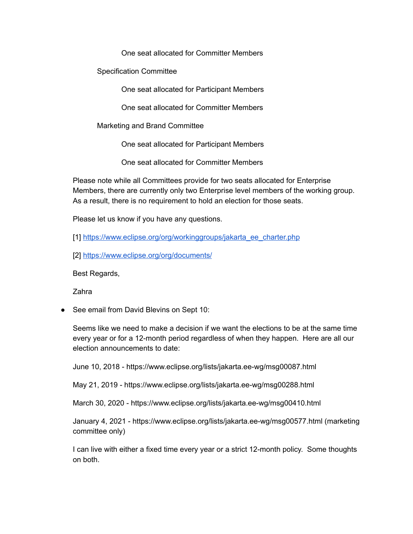One seat allocated for Committer Members

Specification Committee

One seat allocated for Participant Members

One seat allocated for Committer Members

Marketing and Brand Committee

One seat allocated for Participant Members

One seat allocated for Committer Members

Please note while all Committees provide for two seats allocated for Enterprise Members, there are currently only two Enterprise level members of the working group. As a result, there is no requirement to hold an election for those seats.

Please let us know if you have any questions.

[1] [https://www.eclipse.org/org/workinggroups/jakarta\\_ee\\_charter.php](https://www.eclipse.org/org/workinggroups/jakarta_ee_charter.php)

[2] <https://www.eclipse.org/org/documents/>

Best Regards,

Zahra

● See email from David Blevins on Sept 10:

Seems like we need to make a decision if we want the elections to be at the same time every year or for a 12-month period regardless of when they happen. Here are all our election announcements to date:

June 10, 2018 - https://www.eclipse.org/lists/jakarta.ee-wg/msg00087.html

May 21, 2019 - https://www.eclipse.org/lists/jakarta.ee-wg/msg00288.html

March 30, 2020 - https://www.eclipse.org/lists/jakarta.ee-wg/msg00410.html

January 4, 2021 - https://www.eclipse.org/lists/jakarta.ee-wg/msg00577.html (marketing committee only)

I can live with either a fixed time every year or a strict 12-month policy. Some thoughts on both.